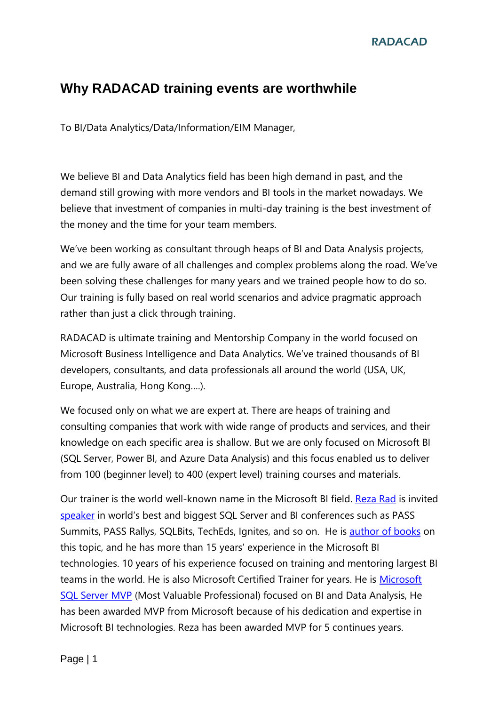#### **RADACAD**

#### **Why RADACAD training events are worthwhile**

To BI/Data Analytics/Data/Information/EIM Manager,

We believe BI and Data Analytics field has been high demand in past, and the demand still growing with more vendors and BI tools in the market nowadays. We believe that investment of companies in multi-day training is the best investment of the money and the time for your team members.

We've been working as consultant through heaps of BI and Data Analysis projects, and we are fully aware of all challenges and complex problems along the road. We've been solving these challenges for many years and we trained people how to do so. Our training is fully based on real world scenarios and advice pragmatic approach rather than just a click through training.

RADACAD is ultimate training and Mentorship Company in the world focused on Microsoft Business Intelligence and Data Analytics. We've trained thousands of BI developers, consultants, and data professionals all around the world (USA, UK, Europe, Australia, Hong Kong….).

We focused only on what we are expert at. There are heaps of training and consulting companies that work with wide range of products and services, and their knowledge on each specific area is shallow. But we are only focused on Microsoft BI (SQL Server, Power BI, and Azure Data Analysis) and this focus enabled us to deliver from 100 (beginner level) to 400 (expert level) training courses and materials.

Our trainer is the world well-known name in the Microsoft BI field. [Reza Rad](http://www.radacad.com/reza) is invited [speaker](http://www.radacad.com/category/presentation) in world's best and biggest SQL Server and BI conferences such as PASS Summits, PASS Rallys, SQLBits, TechEds, Ignites, and so on. He is [author of books](http://rad.pasfu.com/index.php?/categories/11-Publications) on this topic, and he has more than 15 years' experience in the Microsoft BI technologies. 10 years of his experience focused on training and mentoring largest BI teams in the world. He is also [Microsoft](http://mvp.microsoft.com/en-US/findanmvp/Pages/profile.aspx?MVPID=102cf2e9-af0f-4fa2-8c8d-2b2ae0287a75) Certified Trainer for years. He is Microsoft [SQL Server MVP](http://mvp.microsoft.com/en-US/findanmvp/Pages/profile.aspx?MVPID=102cf2e9-af0f-4fa2-8c8d-2b2ae0287a75) (Most Valuable Professional) focused on BI and Data Analysis, He has been awarded MVP from Microsoft because of his dedication and expertise in Microsoft BI technologies. Reza has been awarded MVP for 5 continues years.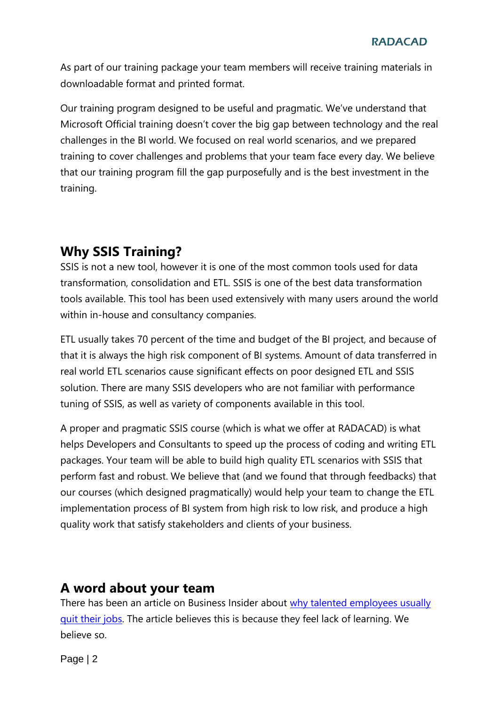As part of our training package your team members will receive training materials in downloadable format and printed format.

Our training program designed to be useful and pragmatic. We've understand that Microsoft Official training doesn't cover the big gap between technology and the real challenges in the BI world. We focused on real world scenarios, and we prepared training to cover challenges and problems that your team face every day. We believe that our training program fill the gap purposefully and is the best investment in the training.

# **Why SSIS Training?**

SSIS is not a new tool, however it is one of the most common tools used for data transformation, consolidation and ETL. SSIS is one of the best data transformation tools available. This tool has been used extensively with many users around the world within in-house and consultancy companies.

ETL usually takes 70 percent of the time and budget of the BI project, and because of that it is always the high risk component of BI systems. Amount of data transferred in real world ETL scenarios cause significant effects on poor designed ETL and SSIS solution. There are many SSIS developers who are not familiar with performance tuning of SSIS, as well as variety of components available in this tool.

A proper and pragmatic SSIS course (which is what we offer at RADACAD) is what helps Developers and Consultants to speed up the process of coding and writing ETL packages. Your team will be able to build high quality ETL scenarios with SSIS that perform fast and robust. We believe that (and we found that through feedbacks) that our courses (which designed pragmatically) would help your team to change the ETL implementation process of BI system from high risk to low risk, and produce a high quality work that satisfy stakeholders and clients of your business.

# **A word about your team**

There has been an article on Business Insider about [why talented employees usually](http://www.businessinsider.com/why-young-employees-quit-their-jobs-2012-9)  [quit their jobs.](http://www.businessinsider.com/why-young-employees-quit-their-jobs-2012-9) The article believes this is because they feel lack of learning. We believe so.

Page | 2